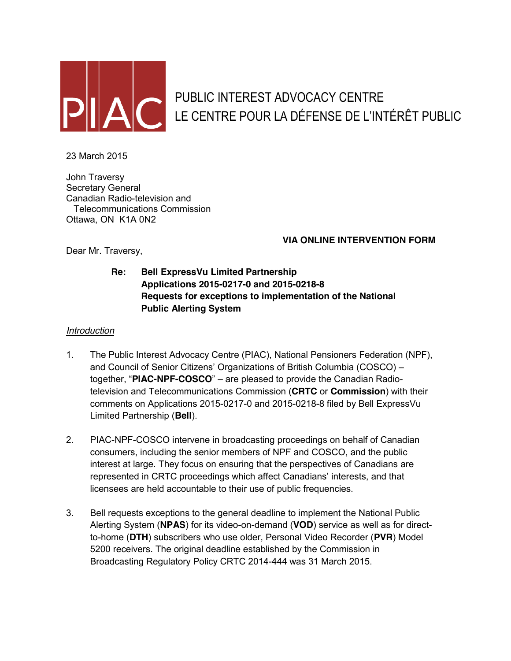

# PUBLIC INTEREST ADVOCACY CENTRE LE CENTRE POUR LA DÉFENSE DE L'INTÉRÊT PUBLIC

23 March 2015

John Traversy Secretary General Canadian Radio-television and Telecommunications Commission Ottawa, ON K1A 0N2

## **VIA ONLINE INTERVENTION FORM**

Dear Mr. Traversy,

**Re: Bell ExpressVu Limited Partnership Applications 2015-0217-0 and 2015-0218-8 Requests for exceptions to implementation of the National Public Alerting System**

## *Introduction*

- 1. The Public Interest Advocacy Centre (PIAC), National Pensioners Federation (NPF), and Council of Senior Citizens' Organizations of British Columbia (COSCO) – together, "**PIAC-NPF-COSCO**" – are pleased to provide the Canadian Radiotelevision and Telecommunications Commission (**CRTC** or **Commission**) with their comments on Applications 2015-0217-0 and 2015-0218-8 filed by Bell ExpressVu Limited Partnership (**Bell**).
- 2. PIAC-NPF-COSCO intervene in broadcasting proceedings on behalf of Canadian consumers, including the senior members of NPF and COSCO, and the public interest at large. They focus on ensuring that the perspectives of Canadians are represented in CRTC proceedings which affect Canadians' interests, and that licensees are held accountable to their use of public frequencies.
- 3. Bell requests exceptions to the general deadline to implement the National Public Alerting System (**NPAS**) for its video-on-demand (**VOD**) service as well as for directto-home (**DTH**) subscribers who use older, Personal Video Recorder (**PVR**) Model 5200 receivers. The original deadline established by the Commission in Broadcasting Regulatory Policy CRTC 2014-444 was 31 March 2015.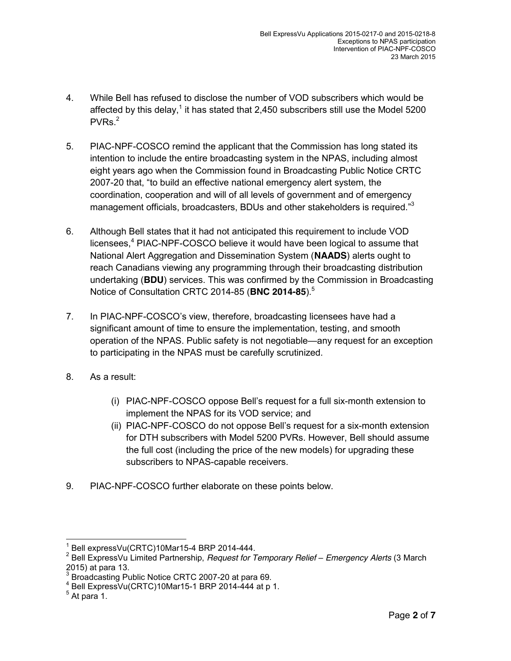- 4. While Bell has refused to disclose the number of VOD subscribers which would be affected by this delay,<sup>1</sup> it has stated that 2,450 subscribers still use the Model 5200  $PVRs<sup>2</sup>$
- 5. PIAC-NPF-COSCO remind the applicant that the Commission has long stated its intention to include the entire broadcasting system in the NPAS, including almost eight years ago when the Commission found in Broadcasting Public Notice CRTC 2007-20 that, "to build an effective national emergency alert system, the coordination, cooperation and will of all levels of government and of emergency management officials, broadcasters, BDUs and other stakeholders is required."<sup>3</sup>
- 6. Although Bell states that it had not anticipated this requirement to include VOD licensees,<sup>4</sup> PIAC-NPF-COSCO believe it would have been logical to assume that National Alert Aggregation and Dissemination System (**NAADS**) alerts ought to reach Canadians viewing any programming through their broadcasting distribution undertaking (**BDU**) services. This was confirmed by the Commission in Broadcasting Notice of Consultation CRTC 2014-85 (**BNC 2014-85**). 5
- 7. In PIAC-NPF-COSCO's view, therefore, broadcasting licensees have had a significant amount of time to ensure the implementation, testing, and smooth operation of the NPAS. Public safety is not negotiable—any request for an exception to participating in the NPAS must be carefully scrutinized.
- 8. As a result:
	- (i) PIAC-NPF-COSCO oppose Bell's request for a full six-month extension to implement the NPAS for its VOD service; and
	- (ii) PIAC-NPF-COSCO do not oppose Bell's request for a six-month extension for DTH subscribers with Model 5200 PVRs. However, Bell should assume the full cost (including the price of the new models) for upgrading these subscribers to NPAS-capable receivers.
- 9. PIAC-NPF-COSCO further elaborate on these points below.

 $1$  Bell expressVu(CRTC)10Mar15-4 BRP 2014-444.

<sup>2</sup> Bell ExpressVu Limited Partnership, *Request for Temporary Relief – Emergency Alerts* (3 March 2015) at para 13.

<sup>&</sup>lt;sup>3</sup> Broadcasting Public Notice CRTC 2007-20 at para 69.

 $4$  Bell ExpressVu(CRTC)10Mar15-1 BRP 2014-444 at p 1.<br> $5$  At para 1.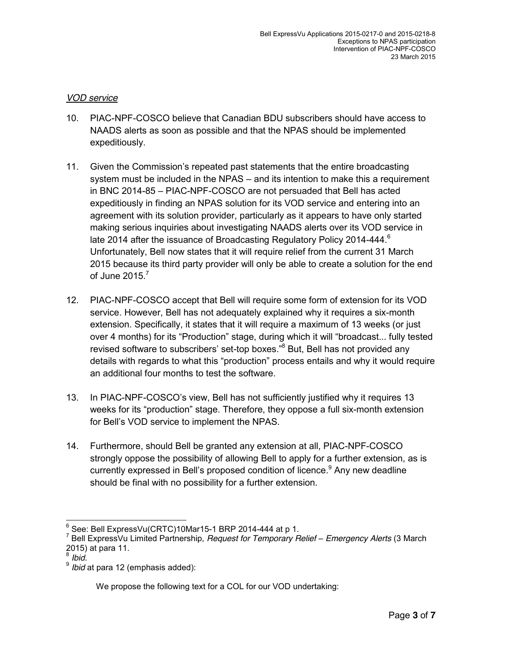#### *VOD service*

- 10. PIAC-NPF-COSCO believe that Canadian BDU subscribers should have access to NAADS alerts as soon as possible and that the NPAS should be implemented expeditiously.
- 11. Given the Commission's repeated past statements that the entire broadcasting system must be included in the NPAS – and its intention to make this a requirement in BNC 2014-85 – PIAC-NPF-COSCO are not persuaded that Bell has acted expeditiously in finding an NPAS solution for its VOD service and entering into an agreement with its solution provider, particularly as it appears to have only started making serious inquiries about investigating NAADS alerts over its VOD service in late 2014 after the issuance of Broadcasting Regulatory Policy 2014-444. $^6$ Unfortunately, Bell now states that it will require relief from the current 31 March 2015 because its third party provider will only be able to create a solution for the end of June  $2015$ <sup>7</sup>
- 12. PIAC-NPF-COSCO accept that Bell will require some form of extension for its VOD service. However, Bell has not adequately explained why it requires a six-month extension. Specifically, it states that it will require a maximum of 13 weeks (or just over 4 months) for its "Production" stage, during which it will "broadcast... fully tested revised software to subscribers' set-top boxes."<sup>8</sup> But, Bell has not provided any details with regards to what this "production" process entails and why it would require an additional four months to test the software.
- 13. In PIAC-NPF-COSCO's view, Bell has not sufficiently justified why it requires 13 weeks for its "production" stage. Therefore, they oppose a full six-month extension for Bell's VOD service to implement the NPAS.
- 14. Furthermore, should Bell be granted any extension at all, PIAC-NPF-COSCO strongly oppose the possibility of allowing Bell to apply for a further extension, as is currently expressed in Bell's proposed condition of licence.<sup>9</sup> Any new deadline should be final with no possibility for a further extension.

<sup>&</sup>lt;sup>6</sup> See: Bell ExpressVu(CRTC)10Mar15-1 BRP 2014-444 at p 1.<br><sup>7</sup> Bell ExpressVu Limited Partnership, *Request for Temporary Relief – Emergency Alerts* (3 March 2015) at para 11.

<sup>8</sup> *Ibid.*

<sup>9</sup> *Ibid* at para 12 (emphasis added):

We propose the following text for a COL for our VOD undertaking: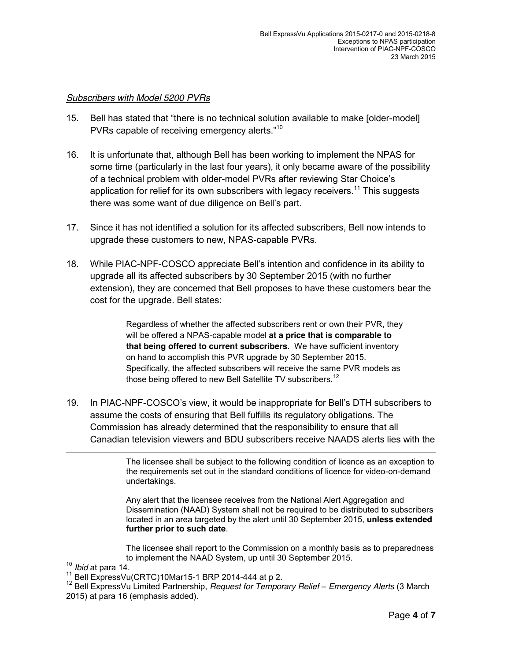#### *Subscribers with Model 5200 PVRs*

- 15. Bell has stated that "there is no technical solution available to make [older-model] PVRs capable of receiving emergency alerts."<sup>10</sup>
- 16. It is unfortunate that, although Bell has been working to implement the NPAS for some time (particularly in the last four years), it only became aware of the possibility of a technical problem with older-model PVRs after reviewing Star Choice's application for relief for its own subscribers with legacy receivers.<sup>11</sup> This suggests there was some want of due diligence on Bell's part.
- 17. Since it has not identified a solution for its affected subscribers, Bell now intends to upgrade these customers to new, NPAS-capable PVRs.
- 18. While PIAC-NPF-COSCO appreciate Bell's intention and confidence in its ability to upgrade all its affected subscribers by 30 September 2015 (with no further extension), they are concerned that Bell proposes to have these customers bear the cost for the upgrade. Bell states:

Regardless of whether the affected subscribers rent or own their PVR, they will be offered a NPAS-capable model **at a price that is comparable to that being offered to current subscribers**. We have sufficient inventory on hand to accomplish this PVR upgrade by 30 September 2015. Specifically, the affected subscribers will receive the same PVR models as those being offered to new Bell Satellite TV subscribers.<sup>12</sup>

19. In PIAC-NPF-COSCO's view, it would be inappropriate for Bell's DTH subscribers to assume the costs of ensuring that Bell fulfills its regulatory obligations. The Commission has already determined that the responsibility to ensure that all Canadian television viewers and BDU subscribers receive NAADS alerts lies with the

> The licensee shall be subject to the following condition of licence as an exception to the requirements set out in the standard conditions of licence for video-on-demand undertakings.

> Any alert that the licensee receives from the National Alert Aggregation and Dissemination (NAAD) System shall not be required to be distributed to subscribers located in an area targeted by the alert until 30 September 2015, **unless extended further prior to such date**.

> The licensee shall report to the Commission on a monthly basis as to preparedness

 $\overline{a}$ 

to implement the NAAD System, up until 30 September 2015.<br><sup>10</sup> *Ibid* at para 14.<br><sup>11</sup> Bell ExpressVu(CRTC)10Mar15-1 BRP 2014-444 at p 2.<br><sup>12</sup> Bell ExpressVu Limited Partnership, *Request for Temporary Relief – Emergency A* 2015) at para 16 (emphasis added).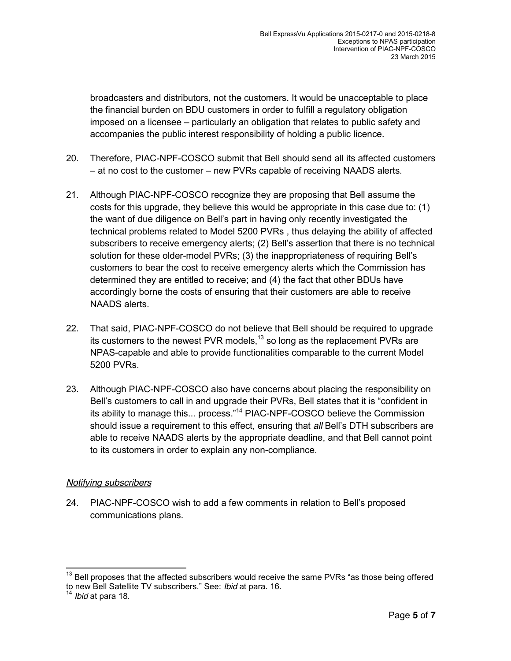broadcasters and distributors, not the customers. It would be unacceptable to place the financial burden on BDU customers in order to fulfill a regulatory obligation imposed on a licensee – particularly an obligation that relates to public safety and accompanies the public interest responsibility of holding a public licence.

- 20. Therefore, PIAC-NPF-COSCO submit that Bell should send all its affected customers – at no cost to the customer – new PVRs capable of receiving NAADS alerts.
- 21. Although PIAC-NPF-COSCO recognize they are proposing that Bell assume the costs for this upgrade, they believe this would be appropriate in this case due to: (1) the want of due diligence on Bell's part in having only recently investigated the technical problems related to Model 5200 PVRs , thus delaying the ability of affected subscribers to receive emergency alerts; (2) Bell's assertion that there is no technical solution for these older-model PVRs; (3) the inappropriateness of requiring Bell's customers to bear the cost to receive emergency alerts which the Commission has determined they are entitled to receive; and (4) the fact that other BDUs have accordingly borne the costs of ensuring that their customers are able to receive NAADS alerts.
- 22. That said, PIAC-NPF-COSCO do not believe that Bell should be required to upgrade its customers to the newest PVR models,<sup>13</sup> so long as the replacement PVRs are NPAS-capable and able to provide functionalities comparable to the current Model 5200 PVRs.
- 23. Although PIAC-NPF-COSCO also have concerns about placing the responsibility on Bell's customers to call in and upgrade their PVRs, Bell states that it is "confident in its ability to manage this... process."<sup>14</sup> PIAC-NPF-COSCO believe the Commission should issue a requirement to this effect, ensuring that *all* Bell's DTH subscribers are able to receive NAADS alerts by the appropriate deadline, and that Bell cannot point to its customers in order to explain any non-compliance.

## *Notifying subscribers*

24. PIAC-NPF-COSCO wish to add a few comments in relation to Bell's proposed communications plans.

 $13$  Bell proposes that the affected subscribers would receive the same PVRs "as those being offered to new Bell Satellite TV subscribers." See: *Ibid* at para. 16. <sup>14</sup> *Ibid* at para 18.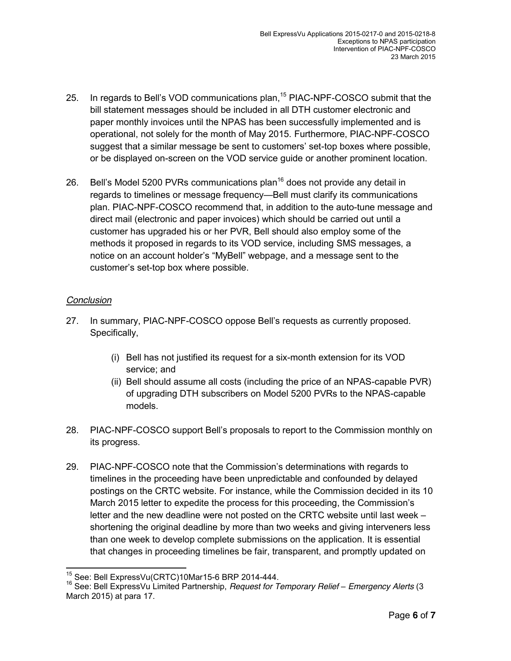- 25. In regards to Bell's VOD communications plan,<sup>15</sup> PIAC-NPF-COSCO submit that the bill statement messages should be included in all DTH customer electronic and paper monthly invoices until the NPAS has been successfully implemented and is operational, not solely for the month of May 2015. Furthermore, PIAC-NPF-COSCO suggest that a similar message be sent to customers' set-top boxes where possible, or be displayed on-screen on the VOD service guide or another prominent location.
- 26. Bell's Model 5200 PVRs communications plan<sup>16</sup> does not provide any detail in regards to timelines or message frequency—Bell must clarify its communications plan. PIAC-NPF-COSCO recommend that, in addition to the auto-tune message and direct mail (electronic and paper invoices) which should be carried out until a customer has upgraded his or her PVR, Bell should also employ some of the methods it proposed in regards to its VOD service, including SMS messages, a notice on an account holder's "MyBell" webpage, and a message sent to the customer's set-top box where possible.

### *Conclusion*

- 27. In summary, PIAC-NPF-COSCO oppose Bell's requests as currently proposed. Specifically,
	- (i) Bell has not justified its request for a six-month extension for its VOD service; and
	- (ii) Bell should assume all costs (including the price of an NPAS-capable PVR) of upgrading DTH subscribers on Model 5200 PVRs to the NPAS-capable models.
- 28. PIAC-NPF-COSCO support Bell's proposals to report to the Commission monthly on its progress.
- 29. PIAC-NPF-COSCO note that the Commission's determinations with regards to timelines in the proceeding have been unpredictable and confounded by delayed postings on the CRTC website. For instance, while the Commission decided in its 10 March 2015 letter to expedite the process for this proceeding, the Commission's letter and the new deadline were not posted on the CRTC website until last week – shortening the original deadline by more than two weeks and giving interveners less than one week to develop complete submissions on the application. It is essential that changes in proceeding timelines be fair, transparent, and promptly updated on

 <sup>15</sup> See: Bell ExpressVu(CRTC)10Mar15-6 BRP 2014-444.

<sup>16</sup> See: Bell ExpressVu Limited Partnership, *Request for Temporary Relief – Emergency Alerts* (3 March 2015) at para 17.